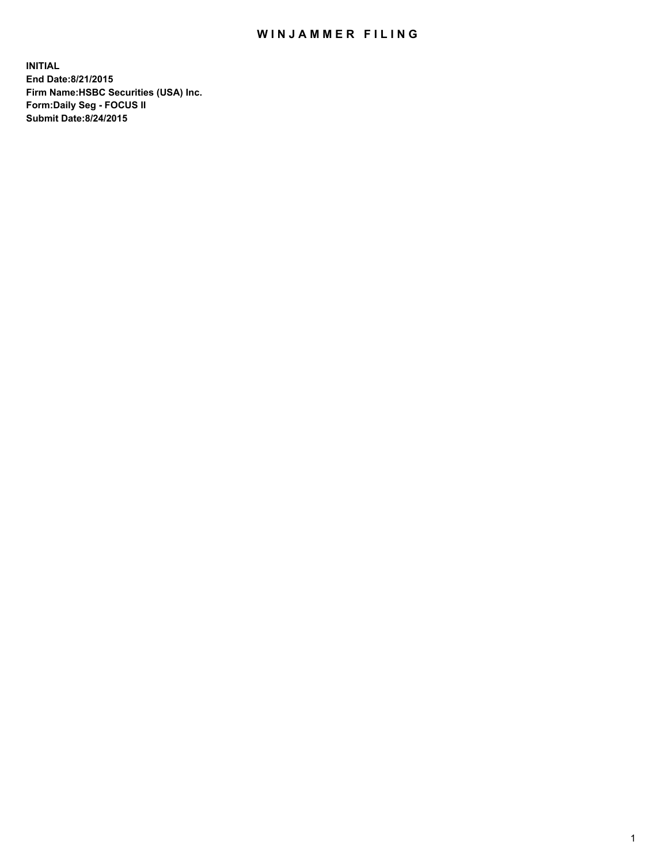## WIN JAMMER FILING

**INITIAL End Date:8/21/2015 Firm Name:HSBC Securities (USA) Inc. Form:Daily Seg - FOCUS II Submit Date:8/24/2015**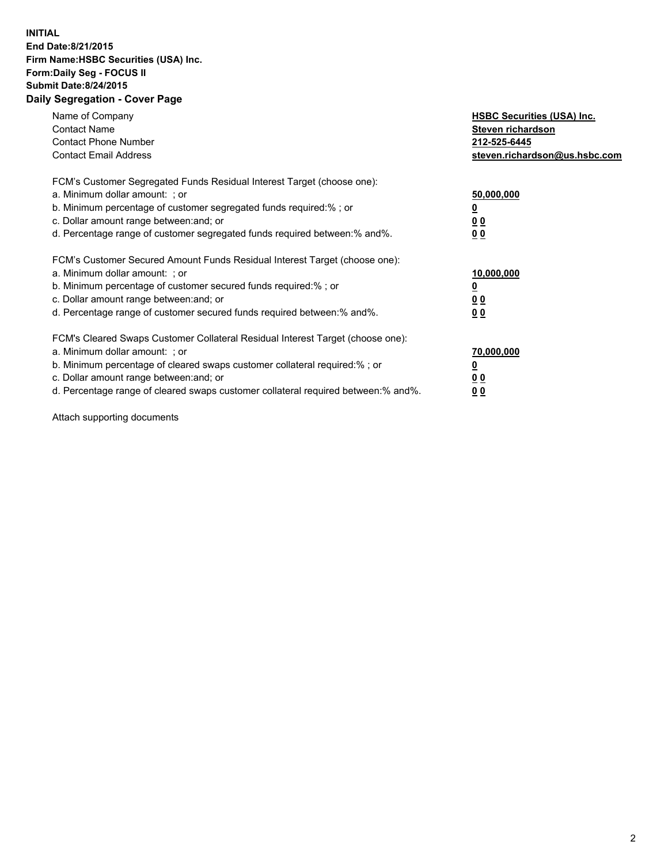## **INITIAL End Date:8/21/2015 Firm Name:HSBC Securities (USA) Inc. Form:Daily Seg - FOCUS II Submit Date:8/24/2015 Daily Segregation - Cover Page**

| Name of Company<br><b>Contact Name</b><br><b>Contact Phone Number</b><br><b>Contact Email Address</b>                                                                                                                                                                                                                          | <b>HSBC Securities (USA) Inc.</b><br>Steven richardson<br>212-525-6445<br>steven.richardson@us.hsbc.com |
|--------------------------------------------------------------------------------------------------------------------------------------------------------------------------------------------------------------------------------------------------------------------------------------------------------------------------------|---------------------------------------------------------------------------------------------------------|
| FCM's Customer Segregated Funds Residual Interest Target (choose one):<br>a. Minimum dollar amount: ; or<br>b. Minimum percentage of customer segregated funds required:%; or<br>c. Dollar amount range between: and; or<br>d. Percentage range of customer segregated funds required between: % and %.                        | 50,000,000<br>0 <sub>0</sub><br>0 <sub>0</sub>                                                          |
| FCM's Customer Secured Amount Funds Residual Interest Target (choose one):<br>a. Minimum dollar amount: ; or<br>b. Minimum percentage of customer secured funds required:%; or<br>c. Dollar amount range between: and; or<br>d. Percentage range of customer secured funds required between:% and%.                            | 10,000,000<br><u>0</u><br>0 <sub>0</sub><br>0 <sub>0</sub>                                              |
| FCM's Cleared Swaps Customer Collateral Residual Interest Target (choose one):<br>a. Minimum dollar amount: ; or<br>b. Minimum percentage of cleared swaps customer collateral required:% ; or<br>c. Dollar amount range between: and; or<br>d. Percentage range of cleared swaps customer collateral required between:% and%. | 70,000,000<br>00<br><u>00</u>                                                                           |

Attach supporting documents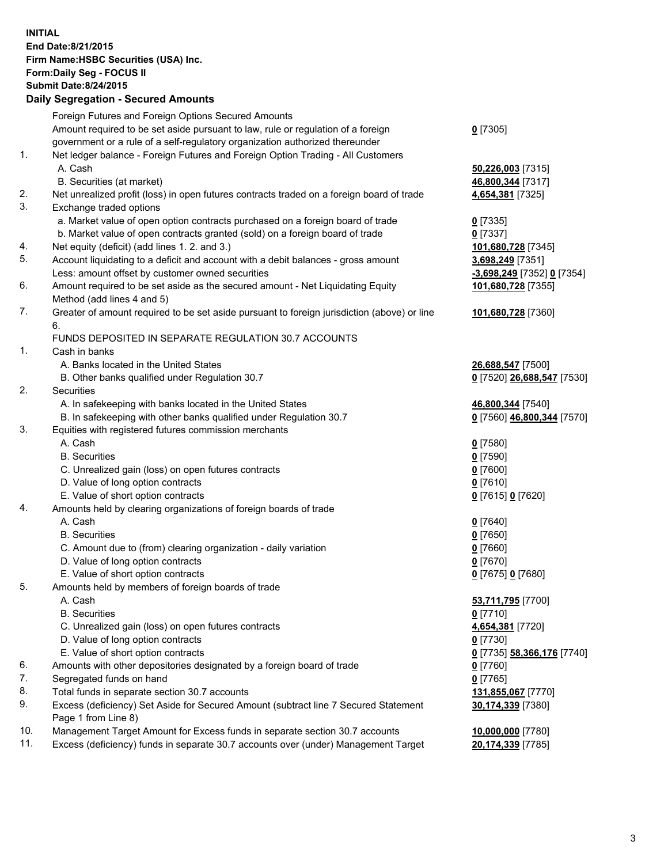**INITIAL End Date:8/21/2015 Firm Name:HSBC Securities (USA) Inc. Form:Daily Seg - FOCUS II Submit Date:8/24/2015 Daily Segregation - Secured Amounts**

|     | Daily Segregation - Secured Amounts                                                                                                  |                            |
|-----|--------------------------------------------------------------------------------------------------------------------------------------|----------------------------|
|     | Foreign Futures and Foreign Options Secured Amounts                                                                                  |                            |
|     | Amount required to be set aside pursuant to law, rule or regulation of a foreign                                                     | $0$ [7305]                 |
|     | government or a rule of a self-regulatory organization authorized thereunder                                                         |                            |
| 1.  | Net ledger balance - Foreign Futures and Foreign Option Trading - All Customers                                                      |                            |
|     | A. Cash                                                                                                                              | 50,226,003 [7315]          |
|     | B. Securities (at market)                                                                                                            | 46,800,344 [7317]          |
| 2.  | Net unrealized profit (loss) in open futures contracts traded on a foreign board of trade                                            | 4,654,381 [7325]           |
| 3.  | Exchange traded options                                                                                                              |                            |
|     | a. Market value of open option contracts purchased on a foreign board of trade                                                       | $0$ [7335]                 |
|     | b. Market value of open contracts granted (sold) on a foreign board of trade                                                         | $0$ [7337]                 |
| 4.  |                                                                                                                                      |                            |
| 5.  | Net equity (deficit) (add lines 1. 2. and 3.)                                                                                        | 101,680,728 [7345]         |
|     | Account liquidating to a deficit and account with a debit balances - gross amount                                                    | 3,698,249 [7351]           |
|     | Less: amount offset by customer owned securities                                                                                     | -3,698,249 [7352] 0 [7354] |
| 6.  | Amount required to be set aside as the secured amount - Net Liquidating Equity                                                       | 101,680,728 [7355]         |
|     | Method (add lines 4 and 5)                                                                                                           |                            |
| 7.  | Greater of amount required to be set aside pursuant to foreign jurisdiction (above) or line                                          | 101,680,728 [7360]         |
|     | 6.                                                                                                                                   |                            |
|     | FUNDS DEPOSITED IN SEPARATE REGULATION 30.7 ACCOUNTS                                                                                 |                            |
| 1.  | Cash in banks                                                                                                                        |                            |
|     | A. Banks located in the United States                                                                                                | 26,688,547 [7500]          |
|     | B. Other banks qualified under Regulation 30.7                                                                                       | 0 [7520] 26,688,547 [7530] |
| 2.  | Securities                                                                                                                           |                            |
|     | A. In safekeeping with banks located in the United States                                                                            | 46,800,344 [7540]          |
|     | B. In safekeeping with other banks qualified under Regulation 30.7                                                                   | 0 [7560] 46,800,344 [7570] |
| 3.  | Equities with registered futures commission merchants                                                                                |                            |
|     | A. Cash                                                                                                                              | $0$ [7580]                 |
|     | <b>B.</b> Securities                                                                                                                 | $0$ [7590]                 |
|     | C. Unrealized gain (loss) on open futures contracts                                                                                  | $0$ [7600]                 |
|     | D. Value of long option contracts                                                                                                    | $0$ [7610]                 |
|     | E. Value of short option contracts                                                                                                   | 0 [7615] 0 [7620]          |
| 4.  | Amounts held by clearing organizations of foreign boards of trade                                                                    |                            |
|     | A. Cash                                                                                                                              | $0$ [7640]                 |
|     | <b>B.</b> Securities                                                                                                                 | $0$ [7650]                 |
|     | C. Amount due to (from) clearing organization - daily variation                                                                      | $0$ [7660]                 |
|     | D. Value of long option contracts                                                                                                    | $0$ [7670]                 |
|     | E. Value of short option contracts                                                                                                   | 0 [7675] 0 [7680]          |
| 5.  | Amounts held by members of foreign boards of trade                                                                                   |                            |
|     | A. Cash                                                                                                                              | 53,711,795 [7700]          |
|     | <b>B.</b> Securities                                                                                                                 | $0$ [7710]                 |
|     | C. Unrealized gain (loss) on open futures contracts                                                                                  | 4,654,381 [7720]           |
|     | D. Value of long option contracts                                                                                                    | $0$ [7730]                 |
|     | E. Value of short option contracts                                                                                                   | 0 [7735] 58,366,176 [7740] |
| 6.  | Amounts with other depositories designated by a foreign board of trade                                                               | 0 [7760]                   |
| 7.  |                                                                                                                                      |                            |
| 8.  | Segregated funds on hand                                                                                                             | $0$ [7765]                 |
| 9.  | Total funds in separate section 30.7 accounts<br>Excess (deficiency) Set Aside for Secured Amount (subtract line 7 Secured Statement | 131,855,067 [7770]         |
|     |                                                                                                                                      | 30,174,339 [7380]          |
|     | Page 1 from Line 8)                                                                                                                  |                            |
| 10. | Management Target Amount for Excess funds in separate section 30.7 accounts                                                          | 10,000,000 [7780]          |
| 11. | Excess (deficiency) funds in separate 30.7 accounts over (under) Management Target                                                   | 20,174,339 [7785]          |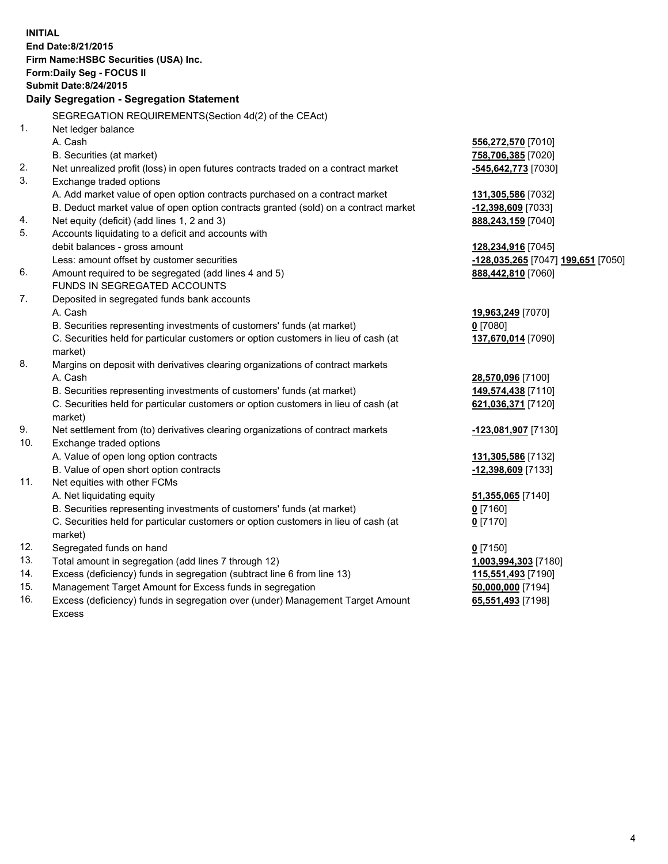| <b>INITIAL</b>                        |                                                                                                            |                                    |  |  |  |  |  |
|---------------------------------------|------------------------------------------------------------------------------------------------------------|------------------------------------|--|--|--|--|--|
| End Date:8/21/2015                    |                                                                                                            |                                    |  |  |  |  |  |
| Firm Name: HSBC Securities (USA) Inc. |                                                                                                            |                                    |  |  |  |  |  |
| Form: Daily Seg - FOCUS II            |                                                                                                            |                                    |  |  |  |  |  |
| <b>Submit Date:8/24/2015</b>          |                                                                                                            |                                    |  |  |  |  |  |
|                                       | Daily Segregation - Segregation Statement                                                                  |                                    |  |  |  |  |  |
|                                       |                                                                                                            |                                    |  |  |  |  |  |
|                                       | SEGREGATION REQUIREMENTS(Section 4d(2) of the CEAct)                                                       |                                    |  |  |  |  |  |
| 1.                                    | Net ledger balance                                                                                         |                                    |  |  |  |  |  |
|                                       | A. Cash                                                                                                    | 556,272,570 [7010]                 |  |  |  |  |  |
|                                       | B. Securities (at market)                                                                                  | 758,706,385 [7020]                 |  |  |  |  |  |
| 2.                                    | Net unrealized profit (loss) in open futures contracts traded on a contract market                         | -545,642,773 [7030]                |  |  |  |  |  |
| 3.                                    | Exchange traded options                                                                                    |                                    |  |  |  |  |  |
|                                       | A. Add market value of open option contracts purchased on a contract market                                | 131,305,586 [7032]                 |  |  |  |  |  |
|                                       | B. Deduct market value of open option contracts granted (sold) on a contract market                        | -12,398,609 [7033]                 |  |  |  |  |  |
| 4.                                    | Net equity (deficit) (add lines 1, 2 and 3)                                                                | 888,243,159 [7040]                 |  |  |  |  |  |
| 5.                                    | Accounts liquidating to a deficit and accounts with                                                        |                                    |  |  |  |  |  |
|                                       | debit balances - gross amount                                                                              | 128,234,916 [7045]                 |  |  |  |  |  |
|                                       | Less: amount offset by customer securities                                                                 | -128,035,265 [7047] 199,651 [7050] |  |  |  |  |  |
| 6.                                    | Amount required to be segregated (add lines 4 and 5)                                                       | 888,442,810 [7060]                 |  |  |  |  |  |
|                                       | FUNDS IN SEGREGATED ACCOUNTS                                                                               |                                    |  |  |  |  |  |
| 7.                                    | Deposited in segregated funds bank accounts                                                                |                                    |  |  |  |  |  |
|                                       | A. Cash                                                                                                    | 19,963,249 [7070]                  |  |  |  |  |  |
|                                       | B. Securities representing investments of customers' funds (at market)                                     | $0$ [7080]                         |  |  |  |  |  |
|                                       | C. Securities held for particular customers or option customers in lieu of cash (at                        | 137,670,014 [7090]                 |  |  |  |  |  |
| 8.                                    | market)                                                                                                    |                                    |  |  |  |  |  |
|                                       | Margins on deposit with derivatives clearing organizations of contract markets                             |                                    |  |  |  |  |  |
|                                       | A. Cash                                                                                                    | 28,570,096 [7100]                  |  |  |  |  |  |
|                                       | B. Securities representing investments of customers' funds (at market)                                     | 149,574,438 [7110]                 |  |  |  |  |  |
|                                       | C. Securities held for particular customers or option customers in lieu of cash (at<br>market)             | 621,036,371 [7120]                 |  |  |  |  |  |
| 9.                                    |                                                                                                            |                                    |  |  |  |  |  |
| 10.                                   | Net settlement from (to) derivatives clearing organizations of contract markets<br>Exchange traded options | -123,081,907 [7130]                |  |  |  |  |  |
|                                       | A. Value of open long option contracts                                                                     | 131,305,586 [7132]                 |  |  |  |  |  |
|                                       | B. Value of open short option contracts                                                                    | $-12,398,609$ [7133]               |  |  |  |  |  |
| 11.                                   | Net equities with other FCMs                                                                               |                                    |  |  |  |  |  |
|                                       | A. Net liquidating equity                                                                                  | 51,355,065 [7140]                  |  |  |  |  |  |
|                                       | B. Securities representing investments of customers' funds (at market)                                     | $0$ [7160]                         |  |  |  |  |  |
|                                       | C. Securities held for particular customers or option customers in lieu of cash (at                        | $0$ [7170]                         |  |  |  |  |  |
|                                       | market)                                                                                                    |                                    |  |  |  |  |  |
| 12.                                   | Segregated funds on hand                                                                                   | $0$ [7150]                         |  |  |  |  |  |
| 13.                                   | Total amount in segregation (add lines 7 through 12)                                                       | 1,003,994,303 [7180]               |  |  |  |  |  |
| 14.                                   | Excess (deficiency) funds in segregation (subtract line 6 from line 13)                                    | 115,551,493 [7190]                 |  |  |  |  |  |
| 15.                                   | Management Target Amount for Excess funds in segregation                                                   | 50,000,000 [7194]                  |  |  |  |  |  |
| 16.                                   | Excess (deficiency) funds in segregation over (under) Management Target Amount                             | 65,551,493 [7198]                  |  |  |  |  |  |

16. Excess (deficiency) funds in segregation over (under) Management Target Amount Excess